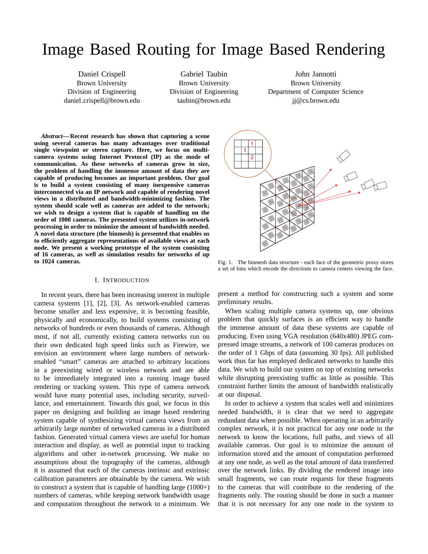# Image Based Routing for Image Based Rendering

Daniel Crispell Brown University Division of Engineering daniel\_crispell@brown.edu

Gabriel Taubin Brown University Division of Engineering taubin@brown.edu

John Jannotti Brown University Department of Computer Science jj@cs.brown.edu

*Abstract***— Recent research has shown that capturing a scene using several cameras has many advantages over traditional single viewpoint or stereo capture. Here, we focus on multicamera systems using Internet Protocol (IP) as the mode of communication. As these networks of cameras grow in size, the problem of handling the immense amount of data they are capable of producing becomes an important problem. Our goal is to build a system consisting of many inexpensive cameras interconnected via an IP network and capable of rendering novel views in a distributed and bandwidth-minimizing fashion. The system should scale well as cameras are added to the network; we wish to design a system that is capable of handling on the order of 1000 cameras. The presented system utilizes in-network processing in order to minimize the amount of bandwidth needed. A novel data structure (the binmesh) is presented that enables us to efficiently aggregate representations of available views at each node. We present a working prototype of the system consisting of 16 cameras, as well as simulation results for networks of up to 1024 cameras.**

# I. INTRODUCTION

In recent years, there has been increasing interest in multiple camera systems [1], [2], [3]. As network-enabled cameras become smaller and less expensive, it is becoming feasible, physically and economically, to build systems consisting of networks of hundreds or even thousands of cameras. Although most, if not all, currently existing camera networks run on their own dedicated high speed links such as Firewire, we envision an environment where large numbers of networkenabled "smart" cameras are attached to arbitrary locations in a preexisting wired or wireless network and are able to be immediately integrated into a running image based rendering or tracking system. This type of camera network would have many potential uses, including security, surveillance, and entertainment. Towards this goal, we focus in this paper on designing and building an image based rendering system capable of synthesizing virtual camera views from an arbitrarily large number of networked cameras in a distributed fashion. Generated virtual camera views are useful for human interaction and display, as well as potential input to tracking algorithms and other in-network processing. We make no assumptions about the topography of the cameras, although it is assumed that each of the cameras intrinsic and extrinsic calibration parameters are obtainable by the camera. We wish to construct a system that is capable of handling large (1000+) numbers of cameras, while keeping network bandwidth usage and computation throughout the network to a minimum. We



Fig. 1. The binmesh data structure - each face of the geometric proxy stores a set of bins which encode the directions to camera centers viewing the face.

present a method for constructing such a system and some preliminary results.

When scaling multiple camera systems up, one obvious problem that quickly surfaces is an efficient way to handle the immense amount of data these systems are capable of producing. Even using VGA resolution (640x480) JPEG compressed image streams, a network of 100 cameras produces on the order of 1 Gbps of data (assuming 30 fps). All published work thus far has employed dedicated networks to handle this data. We wish to build our system on top of existing networks while disrupting preexisting traffic as little as possible. This constraint further limits the amount of bandwidth realistically at our disposal.

In order to achieve a system that scales well and minimizes needed bandwidth, it is clear that we need to aggregate redundant data when possible. When operating in an arbitrarily complex network, it is not practical for any one node in the network to know the locations, full paths, and views of all available cameras. Our goal is to minimize the amount of information stored and the amount of computation performed at any one node, as well as the total amount of data transferred over the network links. By dividing the rendered image into small fragments, we can route requests for these fragments to the cameras that will contribute to the rendering of the fragments only. The routing should be done in such a manner that it is not necessary for any one node in the system to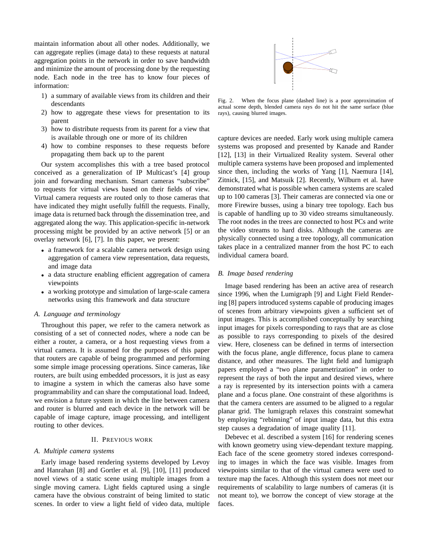maintain information about all other nodes. Additionally, we can aggregate replies (image data) to these requests at natural aggregation points in the network in order to save bandwidth and minimize the amount of processing done by the requesting node. Each node in the tree has to know four pieces of information:

- 1) a summary of available views from its children and their descendants
- 2) how to aggregate these views for presentation to its parent
- 3) how to distribute requests from its parent for a view that is available through one or more of its children
- 4) how to combine responses to these requests before propagating them back up to the parent

Our system accomplishes this with a tree based protocol conceived as a generalization of IP Multicast's [4] group join and forwarding mechanism. Smart cameras "subscribe" to requests for virtual views based on their fields of view. Virtual camera requests are routed only to those cameras that have indicated they might usefully fulfill the requests. Finally, image data is returned back through the dissemination tree, and aggregated along the way. This application-specific in-network processing might be provided by an active network [5] or an overlay network [6], [7]. In this paper, we present:

- a framework for a scalable camera network design using aggregation of camera view representation, data requests, and image data
- a data structure enabling efficient aggregation of camera viewpoints
- a working prototype and simulation of large-scale camera networks using this framework and data structure

#### *A. Language and terminology*

Throughout this paper, we refer to the camera network as consisting of a set of connected *nodes*, where a node can be either a router, a camera, or a host requesting views from a virtual camera. It is assumed for the purposes of this paper that routers are capable of being programmed and performing some simple image processing operations. Since cameras, like routers, are built using embedded processors, it is just as easy to imagine a system in which the cameras also have some programmability and can share the computational load. Indeed, we envision a future system in which the line between camera and router is blurred and each device in the network will be capable of image capture, image processing, and intelligent routing to other devices.

# II. PREVIOUS WORK

## *A. Multiple camera systems*

Early image based rendering systems developed by Levoy and Hanrahan [8] and Gortler et al. [9], [10], [11] produced novel views of a static scene using multiple images from a single moving camera. Light fields captured using a single camera have the obvious constraint of being limited to static scenes. In order to view a light field of video data, multiple



Fig. 2. When the focus plane (dashed line) is a poor approximation of actual scene depth, blended camera rays do not hit the same surface (blue rays), causing blurred images.

capture devices are needed. Early work using multiple camera systems was proposed and presented by Kanade and Rander [12], [13] in their Virtualized Reality system. Several other multiple camera systems have been proposed and implemented since then, including the works of Yang [1], Naemura [14], Zitnick, [15], and Matsuik [2]. Recently, Wilburn et al. have demonstrated what is possible when camera systems are scaled up to 100 cameras [3]. Their cameras are connected via one or more Firewire busses, using a binary tree topology. Each bus is capable of handling up to 30 video streams simultaneously. The root nodes in the trees are connected to host PCs and write the video streams to hard disks. Although the cameras are physically connected using a tree topology, all communication takes place in a centralized manner from the host PC to each individual camera board.

# *B. Image based rendering*

Image based rendering has been an active area of research since 1996, when the Lumigraph [9] and Light Field Rendering [8] papers introduced systems capable of producing images of scenes from arbitrary viewpoints given a sufficient set of input images. This is accomplished conceptually by searching input images for pixels corresponding to rays that are as close as possible to rays corresponding to pixels of the desired view. Here, closeness can be defined in terms of intersection with the focus plane, angle difference, focus plane to camera distance, and other measures. The light field and lumigraph papers employed a "two plane parametrization" in order to represent the rays of both the input and desired views, where a ray is represented by its intersection points with a camera plane and a focus plane. One constraint of these algorithms is that the camera centers are assumed to be aligned to a regular planar grid. The lumigraph relaxes this constraint somewhat by employing "rebinning" of input image data, but this extra step causes a degradation of image quality [11].

Debevec et al. described a system [16] for rendering scenes with known geometry using view-dependant texture mapping. Each face of the scene geometry stored indexes corresponding to images in which the face was visible. Images from viewpoints similar to that of the virtual camera were used to texture map the faces. Although this system does not meet our requirements of scalability to large numbers of cameras (it is not meant to), we borrow the concept of view storage at the faces.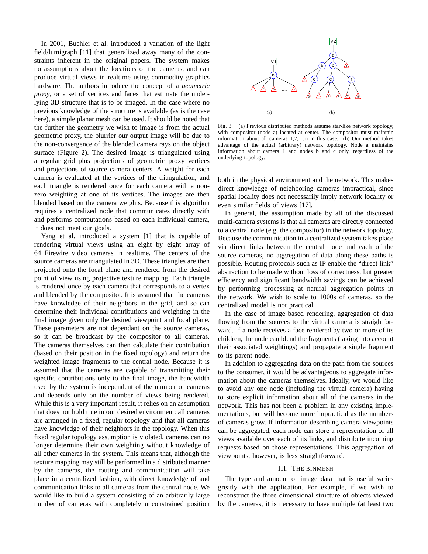In 2001, Buehler et al. introduced a variation of the light field/lumigraph [11] that generalized away many of the constraints inherent in the original papers. The system makes no assumptions about the locations of the cameras, and can produce virtual views in realtime using commodity graphics hardware. The authors introduce the concept of a *geometric proxy*, or a set of vertices and faces that estimate the underlying 3D structure that is to be imaged. In the case where no previous knowledge of the structure is available (as is the case here), a simple planar mesh can be used. It should be noted that the further the geometry we wish to image is from the actual geometric proxy, the blurrier our output image will be due to the non-convergence of the blended camera rays on the object surface (Figure 2). The desired image is triangulated using a regular grid plus projections of geometric proxy vertices and projections of source camera centers. A weight for each camera is evaluated at the vertices of the triangulation, and each triangle is rendered once for each camera with a nonzero weighting at one of its vertices. The images are then blended based on the camera weights. Because this algorithm requires a centralized node that communicates directly with and performs computations based on each individual camera, it does not meet our goals.

Yang et al. introduced a system [1] that is capable of rendering virtual views using an eight by eight array of 64 Firewire video cameras in realtime. The centers of the source cameras are triangulated in 3D. These triangles are then projected onto the focal plane and rendered from the desired point of view using projective texture mapping. Each triangle is rendered once by each camera that corresponds to a vertex and blended by the compositor. It is assumed that the cameras have knowledge of their neighbors in the grid, and so can determine their individual contributions and weighting in the final image given only the desired viewpoint and focal plane. These parameters are not dependant on the source cameras, so it can be broadcast by the compositor to all cameras. The cameras themselves can then calculate their contribution (based on their position in the fixed topology) and return the weighted image fragments to the central node. Because it is assumed that the cameras are capable of transmitting their specific contributions only to the final image, the bandwidth used by the system is independent of the number of cameras and depends only on the number of views being rendered. While this is a very important result, it relies on an assumption that does not hold true in our desired environment: all cameras are arranged in a fixed, regular topology and that all cameras have knowledge of their neighbors in the topology. When this fixed regular topology assumption is violated, cameras can no longer determine their own weighting without knowledge of all other cameras in the system. This means that, although the texture mapping may still be performed in a distributed manner by the cameras, the routing and communication will take place in a centralized fashion, with direct knowledge of and communication links to all cameras from the central node. We would like to build a system consisting of an arbitrarily large number of cameras with completely unconstrained position



Fig. 3. (a) Previous distributed methods assume star-like network topology, with compositor (node a) located at center. The compositor must maintain information about all cameras  $1,2,...$  n in this case. (b) Our method takes advantage of the actual (arbitrary) network topology. Node a maintains information about camera 1 and nodes b and c only, regardless of the underlying topology.

both in the physical environment and the network. This makes direct knowledge of neighboring cameras impractical, since spatial locality does not necessarily imply network locality or even similar fields of views [17].

In general, the assumption made by all of the discussed multi-camera systems is that all cameras are directly connected to a central node (e.g. the compositor) in the network topology. Because the communication in a centralized system takes place via direct links between the central node and each of the source cameras, no aggregation of data along these paths is possible. Routing protocols such as IP enable the "direct link" abstraction to be made without loss of correctness, but greater efficiency and significant bandwidth savings can be achieved by performing processing at natural aggregation points in the network. We wish to scale to 1000s of cameras, so the centralized model is not practical.

In the case of image based rendering, aggregation of data flowing from the sources to the virtual camera is straightforward. If a node receives a face rendered by two or more of its children, the node can blend the fragments (taking into account their associated weightings) and propagate a single fragment to its parent node.

In addition to aggregating data on the path from the sources to the consumer, it would be advantageous to aggregate information about the cameras themselves. Ideally, we would like to avoid any one node (including the virtual camera) having to store explicit information about all of the cameras in the network. This has not been a problem in any existing implementations, but will become more impractical as the numbers of cameras grow. If information describing camera viewpoints can be aggregated, each node can store a representation of all views available over each of its links, and distribute incoming requests based on those representations. This aggregation of viewpoints, however, is less straightforward.

## III. THE BINMESH

The type and amount of image data that is useful varies greatly with the application. For example, if we wish to reconstruct the three dimensional structure of objects viewed by the cameras, it is necessary to have multiple (at least two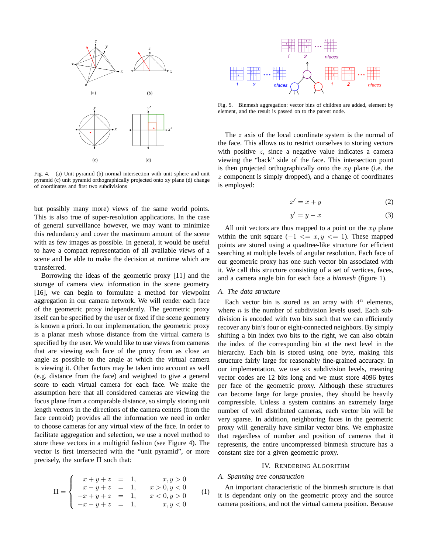

Fig. 4. (a) Unit pyramid (b) normal intersection with unit sphere and unit pyramid (c) unit pyramid orthographically projected onto xy plane (d) change of coordinates and first two subdivisions

but possibly many more) views of the same world points. This is also true of super-resolution applications. In the case of general surveillance however, we may want to minimize this redundancy and cover the maximum amount of the scene with as few images as possible. In general, it would be useful to have a compact representation of all available views of a scene and be able to make the decision at runtime which are transferred.

Borrowing the ideas of the geometric proxy [11] and the storage of camera view information in the scene geometry [16], we can begin to formulate a method for viewpoint aggregation in our camera network. We will render each face of the geometric proxy independently. The geometric proxy itself can be specified by the user or fixed if the scene geometry is known a priori. In our implementation, the geometric proxy is a planar mesh whose distance from the virtual camera is specified by the user. We would like to use views from cameras that are viewing each face of the proxy from as close an angle as possible to the angle at which the virtual camera is viewing it. Other factors may be taken into account as well (e.g. distance from the face) and weighted to give a general score to each virtual camera for each face. We make the assumption here that all considered cameras are viewing the focus plane from a comparable distance, so simply storing unit length vectors in the directions of the camera centers (from the face centroid) provides all the information we need in order to choose cameras for any virtual view of the face. In order to facilitate aggregation and selection, we use a novel method to store these vectors in a multigrid fashion (see Figure 4). The vector is first intersected with the "unit pyramid", or more precisely, the surface  $\Pi$  such that:

$$
\Pi = \begin{cases}\n x + y + z &= 1, & x, y > 0 \\
 x - y + z &= 1, & x > 0, y < 0 \\
 -x + y + z &= 1, & x < 0, y > 0 \\
 -x - y + z &= 1, & x, y < 0\n\end{cases}
$$
(1)



Fig. 5. Binmesh aggregation: vector bins of children are added, element by element, and the result is passed on to the parent node.

The z axis of the local coordinate system is the normal of the face. This allows us to restrict ourselves to storing vectors with positive  $z$ , since a negative value indicates a camera viewing the "back" side of the face. This intersection point is then projected orthographically onto the  $xy$  plane (i.e. the z component is simply dropped), and a change of coordinates is employed:

$$
x' = x + y \tag{2}
$$

$$
y' = y - x \tag{3}
$$

All unit vectors are thus mapped to a point on the  $xy$  plane within the unit square  $(-1 \le x, y \le 1)$ . These mapped points are stored using a quadtree-like structure for efficient searching at multiple levels of angular resolution. Each face of our geometric proxy has one such vector bin associated with it. We call this structure consisting of a set of vertices, faces, and a camera angle bin for each face a *binmesh* (figure 1).

# *A. The data structure*

Fig. 5. Binmesh agreegation: vector bins of children are added, element, and the result is passed on to the parent node.<br>
The z axis of the local coordinate system is the numerical definement and the result is passed on t Each vector bin is stored as an array with  $4^n$  elements, where  $n$  is the number of subdivision levels used. Each subdivision is encoded with two bits such that we can efficiently recover any bin's four or eight-connected neighbors. By simply shifting a bin index two bits to the right, we can also obtain the index of the corresponding bin at the next level in the hierarchy. Each bin is stored using one byte, making this structure fairly large for reasonably fine-grained accuracy. In our implementation, we use six subdivision levels, meaning vector codes are 12 bits long and we must store 4096 bytes per face of the geometric proxy. Although these structures can become large for large proxies, they should be heavily compressible. Unless a system contains an extremely large number of well distributed cameras, each vector bin will be very sparse. In addition, neighboring faces in the geometric proxy will generally have similar vector bins. We emphasize that regardless of number and position of cameras that it represents, the entire uncompressed binmesh structure has a constant size for a given geometric proxy.

# IV. RENDERING ALGORITHM

# *A. Spanning tree construction*

An important characteristic of the binmesh structure is that it is dependant only on the geometric proxy and the source camera positions, and not the virtual camera position. Because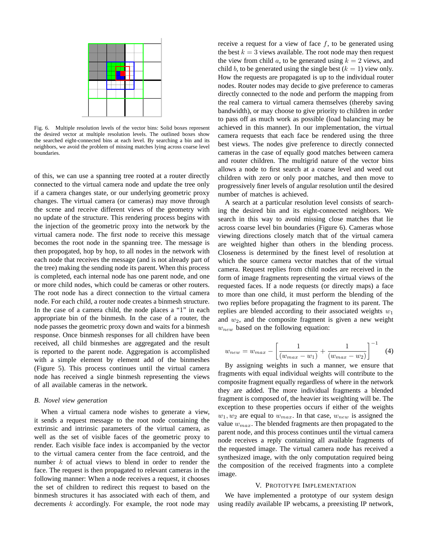

Fig. 6. Multiple resolution levels of the vector bins: Solid boxes represent the desired vector at multiple resolution levels. The outlined boxes show the searched eight-connected bins at each level. By searching a bin and its neighbors, we avoid the problem of missing matches lying across coarse level boundaries.

of this, we can use a spanning tree rooted at a router directly connected to the virtual camera node and update the tree only if a camera changes state, or our underlying geometric proxy changes. The virtual camera (or cameras) may move through the scene and receive different views of the geometry with no update of the structure. This rendering process begins with the injection of the geometric proxy into the network by the virtual camera node. The first node to receive this message becomes the root node in the spanning tree. The message is then propogated, hop by hop, to all nodes in the network with each node that receives the message (and is not already part of the tree) making the sending node its parent. When this process is completed, each internal node has one parent node, and one or more child nodes, which could be cameras or other routers. The root node has a direct connection to the virtual camera node. For each child, a router node creates a binmesh structure. In the case of a camera child, the node places a "1" in each appropriate bin of the binmesh. In the case of a router, the node passes the geometric proxy down and waits for a binmesh response. Once binmesh responses for all children have been received, all child binmeshes are aggregated and the result is reported to the parent node. Aggregation is accomplished with a simple element by element add of the binmeshes (Figure 5). This process continues until the virtual camera node has received a single binmesh representing the views of all available cameras in the network.

# *B. Novel view generation*

When a virtual camera node wishes to generate a view, it sends a request message to the root node containing the extrinsic and intrinsic parameters of the virtual camera, as well as the set of visible faces of the geometric proxy to render. Each visible face index is accompanied by the vector to the virtual camera center from the face centroid, and the number k of actual views to blend in order to render the face. The request is then propagated to relevant cameras in the following manner: When a node receives a request, it chooses the set of children to redirect this request to based on the binmesh structures it has associated with each of them, and decrements  $k$  accordingly. For example, the root node may receive a request for a view of face  $f$ , to be generated using the best  $k = 3$  views available. The root node may then request the view from child a, to be generated using  $k = 2$  views, and child b, to be generated using the single best  $(k = 1)$  view only. How the requests are propagated is up to the individual router nodes. Router nodes may decide to give preference to cameras directly connected to the node and perform the mapping from the real camera to virtual camera themselves (thereby saving bandwidth), or may choose to give priority to children in order to pass off as much work as possible (load balancing may be achieved in this manner). In our implementation, the virtual camera requests that each face be rendered using the three best views. The nodes give preference to directly connected cameras in the case of equally good matches between camera and router children. The multigrid nature of the vector bins allows a node to first search at a coarse level and weed out children with zero or only poor matches, and then move to progressively finer levels of angular resolution until the desired number of matches is achieved.

A search at a particular resolution level consists of searching the desired bin and its eight-connected neighbors. We search in this way to avoid missing close matches that lie across coarse level bin boundaries (Figure 6). Cameras whose viewing directions closely match that of the virtual camera are weighted higher than others in the blending process. Closeness is determined by the finest level of resolution at which the source camera vector matches that of the virtual camera. Request replies from child nodes are received in the form of image fragments representing the virtual views of the requested faces. If a node requests (or directly maps) a face to more than one child, it must perform the blending of the two replies before propagating the fragment to its parent. The replies are blended according to their associated weights  $w_1$ and  $w_2$ , and the composite fragment is given a new weight  $w_{new}$  based on the following equation:

$$
w_{new} = w_{max} - \left[ \frac{1}{(w_{max} - w_1)} + \frac{1}{(w_{max} - w_2)} \right]^{-1}
$$
 (4)

By assigning weights in such a manner, we ensure that fragments with equal individual weights will contribute to the composite fragment equally regardless of where in the network they are added. The more individual fragments a blended fragment is composed of, the heavier its weighting will be. The exception to these properties occurs if either of the weights  $w_1, w_2$  are equal to  $w_{max}$ . In that case,  $w_{new}$  is assigned the value  $w_{max}$ . The blended fragments are then propagated to the parent node, and this process continues until the virtual camera node receives a reply containing all available fragments of the requested image. The virtual camera node has received a synthesized image, with the only computation required being the composition of the received fragments into a complete image.

#### V. PROTOTYPE IMPLEMENTATION

We have implemented a prototype of our system design using readily available IP webcams, a preexisting IP network,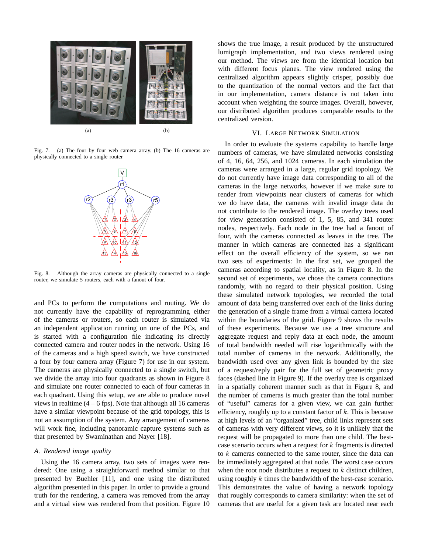

Fig. 7. (a) The four by four web camera array. (b) The 16 cameras are physically connected to a single router



Fig. 8. Although the array cameras are physically connected to a single router, we simulate 5 routers, each with a fanout of four.

and PCs to perform the computations and routing. We do not currently have the capability of reprogramming either of the cameras or routers, so each router is simulated via an independent application running on one of the PCs, and is started with a configuration file indicating its directly connected camera and router nodes in the network. Using 16 of the cameras and a high speed switch, we have constructed a four by four camera array (Figure 7) for use in our system. The cameras are physically connected to a single switch, but we divide the array into four quadrants as shown in Figure 8 and simulate one router connected to each of four cameras in each quadrant. Using this setup, we are able to produce novel views in realtime  $(4 - 6$  fps). Note that although all 16 cameras have a similar viewpoint because of the grid topology, this is not an assumption of the system. Any arrangement of cameras will work fine, including panoramic capture systems such as that presented by Swaminathan and Nayer [18].

# *A. Rendered image quality*

Using the 16 camera array, two sets of images were rendered: One using a straightforward method similar to that presented by Buehler [11], and one using the distributed algorithm presented in this paper. In order to provide a ground truth for the rendering, a camera was removed from the array and a virtual view was rendered from that position. Figure 10

shows the true image, a result produced by the unstructured lumigraph implementation, and two views rendered using our method. The views are from the identical location but with different focus planes. The view rendered using the centralized algorithm appears slightly crisper, possibly due to the quantization of the normal vectors and the fact that in our implementation, camera distance is not taken into account when weighting the source images. Overall, however, our distributed algorithm produces comparable results to the centralized version.

# VI. LARGE NETWORK SIMULATION

In order to evaluate the systems capability to handle large numbers of cameras, we have simulated networks consisting of 4, 16, 64, 256, and 1024 cameras. In each simulation the cameras were arranged in a large, regular grid topology. We do not currently have image data corresponding to all of the cameras in the large networks, however if we make sure to render from viewpoints near clusters of cameras for which we do have data, the cameras with invalid image data do not contribute to the rendered image. The overlay trees used for view generation consisted of 1, 5, 85, and 341 router nodes, respectively. Each node in the tree had a fanout of four, with the cameras connected as leaves in the tree. The manner in which cameras are connected has a significant effect on the overall efficiency of the system, so we ran two sets of experiments: In the first set, we grouped the cameras according to spatial locality, as in Figure 8. In the second set of experiments, we chose the camera connections randomly, with no regard to their physical position. Using these simulated network topologies, we recorded the total amount of data being transferred over each of the links during the generation of a single frame from a virtual camera located within the boundaries of the grid. Figure 9 shows the results of these experiments. Because we use a tree structure and aggregate request and reply data at each node, the amount of total bandwidth needed will rise logarithmically with the total number of cameras in the network. Additionally, the bandwidth used over any given link is bounded by the size of a request/reply pair for the full set of geometric proxy faces (dashed line in Figure 9). If the overlay tree is organized in a spatially coherent manner such as that in Figure 8, and the number of cameras is much greater than the total number of "useful" cameras for a given view, we can gain further efficiency, roughly up to a constant factor of  $k$ . This is because at high levels of an "organized" tree, child links represent sets of cameras with very different views, so it is unlikely that the request will be propagated to more than one child. The bestcase scenario occurs when a request for  $k$  fragments is directed to k cameras connected to the same router, since the data can be immediately aggregated at that node. The worst case occurs when the root node distributes a request to  $k$  distinct children, using roughly k times the bandwidth of the best-case scenario. This demonstrates the value of having a network topology that roughly corresponds to camera similarity: when the set of cameras that are useful for a given task are located near each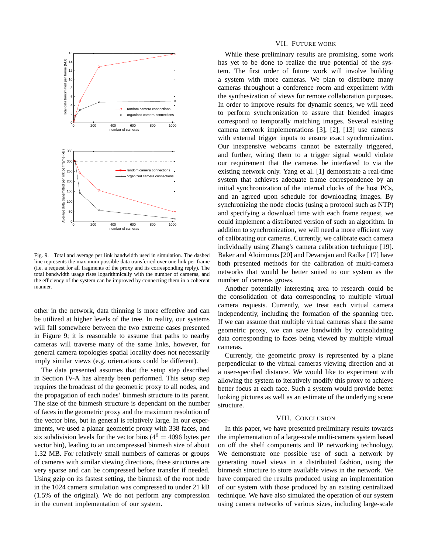

Fig. 9. Total and average per link bandwidth used in simulation. The dashed line represents the maximum possible data transferred over one link per frame (i.e. a request for all fragments of the proxy and its corresponding reply). The total bandwidth usage rises logarithmically with the number of cameras, and the efficiency of the system can be improved by connecting them in a coherent manner.

other in the network, data thinning is more effective and can be utilized at higher levels of the tree. In reality, our systems will fall somewhere between the two extreme cases presented in Figure 9; it is reasonable to assume that paths to nearby cameras will traverse many of the same links, however, for general camera topologies spatial locality does not necessarily imply similar views (e.g. orientations could be different).

The data presented assumes that the setup step described in Section IV-A has already been performed. This setup step requires the broadcast of the geometric proxy to all nodes, and the propagation of each nodes' binmesh structure to its parent. The size of the binmesh structure is dependant on the number of faces in the geometric proxy and the maximum resolution of the vector bins, but in general is relatively large. In our experiments, we used a planar geometric proxy with 338 faces, and six subdivision levels for the vector bins ( $4^6 = 4096$  bytes per vector bin), leading to an uncompressed binmesh size of about 1.32 MB. For relatively small numbers of cameras or groups of cameras with similar viewing directions, these structures are very sparse and can be compressed before transfer if needed. Using gzip on its fastest setting, the binmesh of the root node in the 1024 camera simulation was compressed to under 21 kB (1.5% of the original). We do not perform any compression in the current implementation of our system.

#### VII. FUTURE WORK

While these preliminary results are promising, some work has yet to be done to realize the true potential of the system. The first order of future work will involve building a system with more cameras. We plan to distribute many cameras throughout a conference room and experiment with the synthesization of views for remote collaboration purposes. In order to improve results for dynamic scenes, we will need to perform synchronization to assure that blended images correspond to temporally matching images. Several existing camera network implementations [3], [2], [13] use cameras with external trigger inputs to ensure exact synchronization. Our inexpensive webcams cannot be externally triggered, and further, wiring them to a trigger signal would violate our requirement that the cameras be interfaced to via the existing network only. Yang et al. [1] demonstrate a real-time system that achieves adequate frame correspondence by an initial synchronization of the internal clocks of the host PCs, and an agreed upon schedule for downloading images. By synchronizing the node clocks (using a protocol such as NTP) and specifying a download time with each frame request, we could implement a distributed version of such an algorithm. In addition to synchronization, we will need a more efficient way of calibrating our cameras. Currently, we calibrate each camera individually using Zhang's camera calibration technique [19]. Baker and Aloimonos [20] and Devarajan and Radke [17] have both presented methods for the calibration of multi-camera networks that would be better suited to our system as the number of cameras grows.

Another potentially interesting area to research could be the consolidation of data corresponding to multiple virtual camera requests. Currently, we treat each virtual camera independently, including the formation of the spanning tree. If we can assume that multiple virtual cameras share the same geometric proxy, we can save bandwidth by consolidating data corresponding to faces being viewed by multiple virtual cameras.

Currently, the geometric proxy is represented by a plane perpendicular to the virtual cameras viewing direction and at a user-specified distance. We would like to experiment with allowing the system to iteratively modify this proxy to achieve better focus at each face. Such a system would provide better looking pictures as well as an estimate of the underlying scene structure.

# VIII. CONCLUSION

In this paper, we have presented preliminary results towards the implementation of a large-scale multi-camera system based on off the shelf components and IP networking technology. We demonstrate one possible use of such a network by generating novel views in a distributed fashion, using the binmesh structure to store available views in the network. We have compared the results produced using an implementation of our system with those produced by an existing centralized technique. We have also simulated the operation of our system using camera networks of various sizes, including large-scale